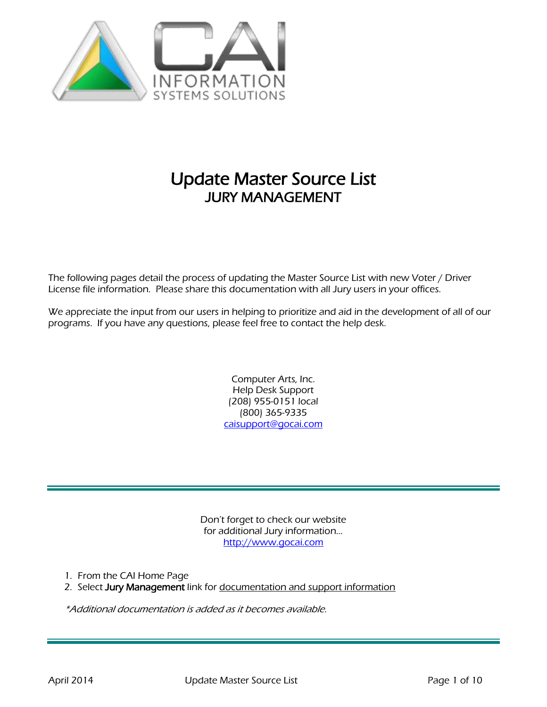

# Update Master Source List JURY MANAGEMENT

The following pages detail the process of updating the Master Source List with new Voter / Driver License file information. Please share this documentation with all Jury users in your offices.

We appreciate the input from our users in helping to prioritize and aid in the development of all of our programs. If you have any questions, please feel free to contact the help desk.

> Computer Arts, Inc. Help Desk Support (208) 955-0151 local (800) 365-9335 [caisupport@gocai.com](mailto:caisupport@gocai.com)

Don't forget to check our website for additional Jury information… [http://www.gocai.com](http://www.gocai.com/)

1. From the CAI Home Page

2. Select Jury Management link for documentation and support information

\*Additional documentation is added as it becomes available.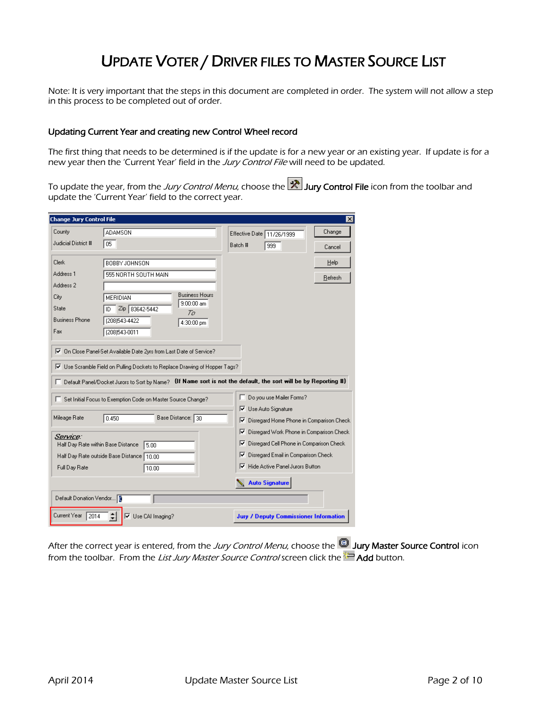# UPDATE VOTER / DRIVER FILES TO MASTER SOURCE LIST

Note: It is very important that the steps in this document are completed in order. The system will not allow a step in this process to be completed out of order.

### Updating Current Year and creating new Control Wheel record

The first thing that needs to be determined is if the update is for a new year or an existing year. If update is for a new year then the 'Current Year' field in the Jury Control File will need to be updated.

To update the year, from the *Jury Control Menu*, choose the **Film Jury Control File** icon from the toolbar and update the 'Current Year' field to the correct year.

| <b>Change Jury Control File</b> |                                                                                                                                                                                                                                                                 |                                                           | $\vert x \vert$ |
|---------------------------------|-----------------------------------------------------------------------------------------------------------------------------------------------------------------------------------------------------------------------------------------------------------------|-----------------------------------------------------------|-----------------|
| County                          | <b>ADAMSON</b>                                                                                                                                                                                                                                                  | Effective Date 11/26/1999                                 | Change          |
| Judicial District #             | 05                                                                                                                                                                                                                                                              | Batch #<br>999                                            | Cancel          |
| Clerk                           | BOBBY JOHNSON                                                                                                                                                                                                                                                   |                                                           | Help            |
| Address <sub>1</sub>            | 555 NORTH SOUTH MAIN                                                                                                                                                                                                                                            |                                                           |                 |
| Address 2                       |                                                                                                                                                                                                                                                                 |                                                           | Refresh         |
| City                            | <b>Business Hours</b><br>MERIDIAN                                                                                                                                                                                                                               |                                                           |                 |
| State                           | $9:00:00$ am<br>Zip 83642-5442                                                                                                                                                                                                                                  |                                                           |                 |
| <b>Business Phone</b>           | Ta<br>(208)543-4422<br>4:30:00 pm                                                                                                                                                                                                                               |                                                           |                 |
| Fax                             | (208)543-0011                                                                                                                                                                                                                                                   |                                                           |                 |
|                                 | Ⅳ Use Scramble Field on Pulling Dockets to Replace Drawing of Hopper Tags?<br>□ Default Panel/Docket Jurors to Sort by Name? {If Name sort is not the default, the sort will be by Reporting #}<br>Set Initial Focus to Exemption Code on Master Source Change? | Do you use Mailer Forms?<br>Е<br>Use Auto Signature<br> ⊽ |                 |
| Mileage Rate                    | Base Distance: 30<br>0.450                                                                                                                                                                                                                                      | Disregard Home Phone in Comparison Check<br> ⊽            |                 |
| Service:                        |                                                                                                                                                                                                                                                                 | Disregard Work Phone in Comparison Check<br>⊽             |                 |
|                                 | Half Day Rate within Base Distance<br>5.00                                                                                                                                                                                                                      | Disregard Cell Phone in Comparison Check<br>∣∨            |                 |
|                                 | Half Day Rate outside Base Distance   10.00                                                                                                                                                                                                                     | Disregard Email in Comparison Check<br> ⊽                 |                 |
| Full Day Rate                   | 10.00                                                                                                                                                                                                                                                           | Hide Active Panel Jurors Button<br> ⊽                     |                 |
|                                 |                                                                                                                                                                                                                                                                 | <b>Auto Signature</b>                                     |                 |
| Default Donation Vendor         |                                                                                                                                                                                                                                                                 |                                                           |                 |
| Current Year<br>2014            | ÷<br><b>▽</b> Use CAI Imaging?                                                                                                                                                                                                                                  | <b>Jury / Deputy Commissioner Information</b>             |                 |

After the correct year is entered, from the Jury Control Menu, choose the **D** Jury Master Source Control icon from the toolbar. From the List Jury Master Source Control screen click the Add button.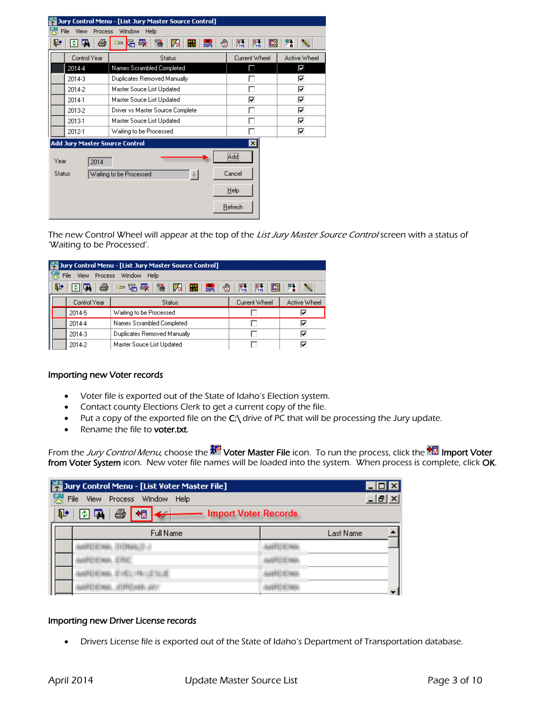|                                       | Jury Control Menu - [List Jury Master Source Control] |                                                      |              |  |  |
|---------------------------------------|-------------------------------------------------------|------------------------------------------------------|--------------|--|--|
| File<br>Process<br>View               | Window<br>Help                                        |                                                      |              |  |  |
| 国<br>⋫<br>ê<br>ΦI                     | 鳳<br>衟<br>⊕<br><b>DUPS</b><br>宿<br>IЉ<br>鼺            | 隭<br>隭<br>Еš                                         | 階            |  |  |
| Control Year                          | <b>Status</b>                                         | Current Wheel                                        | Active Wheel |  |  |
| 2014-4                                | Names Scrambled Completed                             | ш                                                    | ⊡            |  |  |
| 2014-3                                | Duplicates Removed Manually                           |                                                      | ⊽            |  |  |
| 2014-2                                | Master Souce List Updated                             |                                                      | ⊽            |  |  |
| 2014-1                                | Master Souce List Updated                             | ⊽                                                    | ⊽            |  |  |
| 2013-2                                | Driver vs Master Source Complete                      | г                                                    | ⊽            |  |  |
| 2013-1                                | Master Souce List Updated                             |                                                      | ⊽            |  |  |
| 2012-1                                | Waiting to be Processed                               |                                                      | ⊽            |  |  |
| <b>Add Jury Master Source Control</b> |                                                       | ×                                                    |              |  |  |
| Year<br>2014<br><b>Status</b>         | Waiting to be Processed<br>$\frac{3}{\sqrt{2}}$       | $\overline{\text{Add}}$<br>Cancel<br>Help<br>Refresh |              |  |  |

The new Control Wheel will appear at the top of the List Jury Master Source Control screen with a status of 'Waiting to be Processed'.

|                                                                                                               | Jury Control Menu - [List Jury Master Source Control]               |              |                             |               |              |  |  |  |  |  |  |
|---------------------------------------------------------------------------------------------------------------|---------------------------------------------------------------------|--------------|-----------------------------|---------------|--------------|--|--|--|--|--|--|
|                                                                                                               | 옛<br>File<br><b>Process</b><br><b>View</b><br><b>Window</b><br>Help |              |                             |               |              |  |  |  |  |  |  |
| ※ 温 曝  <br>₽<br>国<br>◎清│历│ <mark>翩</mark><br>4<br><b>DUPS</b><br>⊕<br>隭<br>骨<br>P <sub>MS</sub><br>IE.<br>IФШ |                                                                     |              |                             |               |              |  |  |  |  |  |  |
|                                                                                                               |                                                                     | Control Year | Status                      | Current Wheel | Active Wheel |  |  |  |  |  |  |
|                                                                                                               |                                                                     | 2014-5       | Waiting to be Processed     |               | ⊽            |  |  |  |  |  |  |
|                                                                                                               |                                                                     | 2014-4       | Names Scrambled Completed   |               | ⊽            |  |  |  |  |  |  |
|                                                                                                               |                                                                     | 2014-3       | Duplicates Removed Manually |               | ⊽            |  |  |  |  |  |  |
|                                                                                                               |                                                                     | 2014-2       | Master Souce List Updated   |               | ⊽            |  |  |  |  |  |  |

### Importing new Voter records

- Voter file is exported out of the State of Idaho's Election system.
- Contact county Elections Clerk to get a current copy of the file.
- $\bullet$  Put a copy of the exported file on the C:\ drive of PC that will be processing the Jury update.
- Rename the file to voter.txt.

From the *Jury Control Menu*, choose the **AT Voter Master File** icon. To run the process, click the **PM Import Voter from Voter System** icon. New voter file names will be loaded into the system. When process is complete, click **OK**.

| Jury Control Menu - [List Voter Master File]        |           |  |  |  |  |  |  |  |  |  |  |
|-----------------------------------------------------|-----------|--|--|--|--|--|--|--|--|--|--|
| 옛<br>File<br>View Process Window Help               | - [라]     |  |  |  |  |  |  |  |  |  |  |
| Ë<br>Æ<br><b>Import Voter Records</b><br><b>SPA</b> |           |  |  |  |  |  |  |  |  |  |  |
| Full Name                                           | Last Name |  |  |  |  |  |  |  |  |  |  |
|                                                     |           |  |  |  |  |  |  |  |  |  |  |
|                                                     |           |  |  |  |  |  |  |  |  |  |  |
|                                                     |           |  |  |  |  |  |  |  |  |  |  |
|                                                     |           |  |  |  |  |  |  |  |  |  |  |

# Importing new Driver License records

Drivers License file is exported out of the State of Idaho's Department of Transportation database.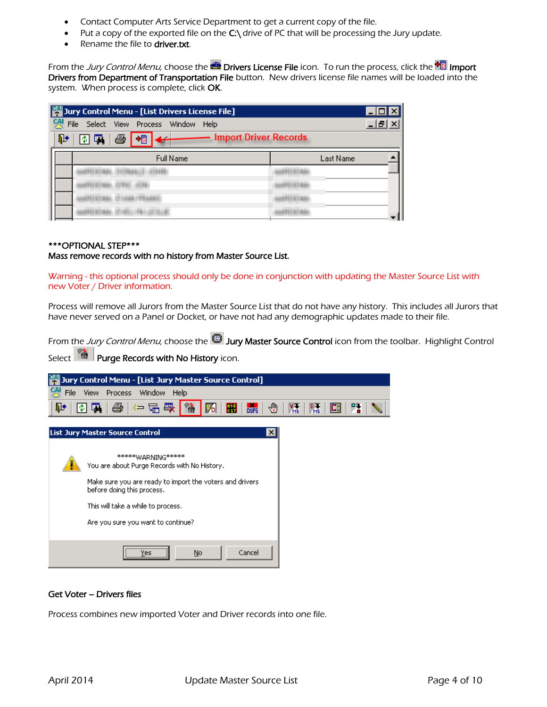- Contact Computer Arts Service Department to get a current copy of the file.
- Put a copy of the exported file on the  $C \setminus$  drive of PC that will be processing the Jury update.
- Rename the file to driver.txt.

From the Jury Control Menu, choose the **Drivers License File** icon. To run the process, click the <sup>D</sup>ull Import Drivers from Department of Transportation File button. New drivers license file names will be loaded into the system. When process is complete, click OK.

| Jury Control Menu - [List Drivers License File]            |           |  |  |  |  |  |  |  |  |  |
|------------------------------------------------------------|-----------|--|--|--|--|--|--|--|--|--|
| 옛<br>File<br>Select<br>View Process Window<br>- 한<br>Help  |           |  |  |  |  |  |  |  |  |  |
| <b>Import Driver Records</b><br>Ë<br>承<br>啼<br>٦<br>$\sim$ |           |  |  |  |  |  |  |  |  |  |
| Full Name                                                  | Last Name |  |  |  |  |  |  |  |  |  |
|                                                            |           |  |  |  |  |  |  |  |  |  |
|                                                            |           |  |  |  |  |  |  |  |  |  |
|                                                            |           |  |  |  |  |  |  |  |  |  |
|                                                            |           |  |  |  |  |  |  |  |  |  |

### \*\*\*OPTIONAL STEP\*\*\*

### Mass remove records with no history from Master Source List.

Warning - this optional process should only be done in conjunction with updating the Master Source List with new Voter / Driver information.

Process will remove all Jurors from the Master Source List that do not have any history. This includes all Jurors that have never served on a Panel or Docket, or have not had any demographic updates made to their file.

From the Jury Control Menu, choose the **D** Jury Master Source Control icon from the toolbar. Highlight Control Select  $\mathbb{R}^{\mathbb{R}}$  Purge Records with No History icon.

#### Jury Control Menu - [List Jury Master Source Control]  $\frac{GM}{C}$  File View Process Window Help **DUPS** ∙® 隭 厩 匨 ⋫ 神品嚴 悕 隅 国国 叠 М  $\mathbf{E}^{\times}_{\times}$ 図 **List Jury Master Source Control** \*\*\*\*\*\*WARNING\*\*\*\*\* You are about Purge Records with No History. Make sure you are ready to import the voters and drivers before doing this process. This will take a while to process. Are you sure you want to continue?



### Get Voter – Drivers files

Process combines new imported Voter and Driver records into one file.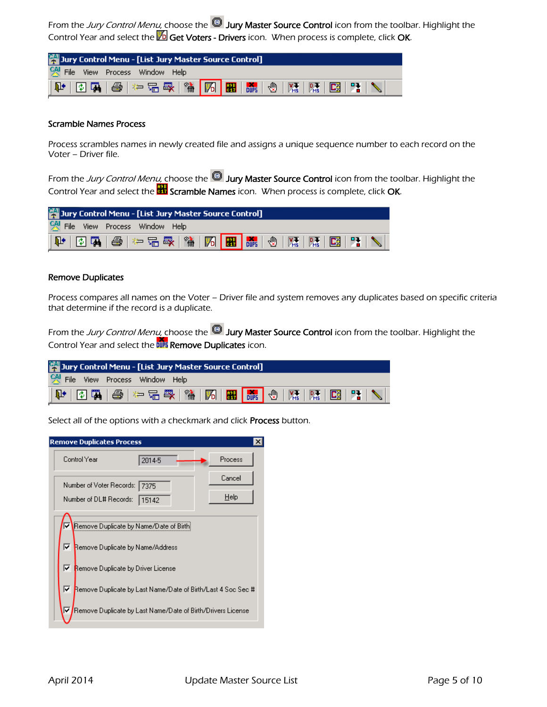From the *Jury Control Menu*, choose the <sup>ILI</sup> Jury Master Source Control icon from the toolbar. Highlight the Control Year and select the  $\mathbb{Z}$  Get Voters - Drivers icon. When process is complete, click OK.

| Jury Control Menu - [List Jury Master Source Control] |                                                                                                                                                                                                                                                                                              |  |  |  |  |  |  |  |  |
|-------------------------------------------------------|----------------------------------------------------------------------------------------------------------------------------------------------------------------------------------------------------------------------------------------------------------------------------------------------|--|--|--|--|--|--|--|--|
| 옛 File View Process Window Help                       |                                                                                                                                                                                                                                                                                              |  |  |  |  |  |  |  |  |
|                                                       | $ \Psi  \otimes \mathbb{R}   \oplus   \Leftrightarrow \mathbb{G}   \mathbb{R}   \, \text{``}\, \overline{ \mathcal{M} } \, \overline{\mathbb{R}   \, \mathbb{R}   \, \mathbb{C}   \, \mathbb{R}   \, \mathbb{R}   \, \overline{\mathbb{C}   \, \mathbb{R}  } \,  \, \overline{\mathbb{C}}  $ |  |  |  |  |  |  |  |  |

### Scramble Names Process

Process scrambles names in newly created file and assigns a unique sequence number to each record on the Voter – Driver file.

From the Jury Control Menu, choose the  $^{\circledR}$  Jury Master Source Control icon from the toolbar. Highlight the Control Year and select the **Stramble Names** icon. When process is complete, click OK.

| Jury Control Menu - [List Jury Master Source Control]                                                                                                                                                                                                                                                                                                                                                                                |  |
|--------------------------------------------------------------------------------------------------------------------------------------------------------------------------------------------------------------------------------------------------------------------------------------------------------------------------------------------------------------------------------------------------------------------------------------|--|
| 옛 File View Process Window Help                                                                                                                                                                                                                                                                                                                                                                                                      |  |
| $ \mathbf{P}^{\star}  \mathbf{D}^{\star} \mathbf{B}  \mathbf{B}^{\star} \mathbf{B}^{\star} \mathbf{E}^{\star} \mathbf{B}^{\star} \mathbf{B}^{\star} \mathbf{B}^{\star} \mathbf{B}^{\star} \mathbf{B}^{\star} \mathbf{B}^{\star} \mathbf{B}^{\star} \mathbf{B}^{\star} \mathbf{B}^{\star} \mathbf{A}^{\star} \mathbf{A}^{\star} \mathbf{A}^{\star} \mathbf{A}^{\star} \mathbf{A}^{\star} \mathbf{A}^{\star} \mathbf{A}^{\star} \math$ |  |

# Remove Duplicates

Process compares all names on the Voter – Driver file and system removes any duplicates based on specific criteria that determine if the record is a duplicate.

From the Jury Control Menu, choose the **D** Jury Master Source Control icon from the toolbar. Highlight the Control Year and select the DIF Remove Duplicates icon.

| Jury Control Menu - [List Jury Master Source Control]                                                                                                                                           |  |
|-------------------------------------------------------------------------------------------------------------------------------------------------------------------------------------------------|--|
| 옛 File View Process Window Help                                                                                                                                                                 |  |
| $ \Psi  \Phi \mathbf{R} \oplus \leftarrow \mathbb{G}\oplus \mathbb{R} \mathbb{A} \mathbf{R} \mathbf{R} \mathbf{R} \Phi \mathbf{R} \Phi \mathbf{R} \mathbf{R} \mathbf{R} \mathbf{R} \mathbf{R} $ |  |

Select all of the options with a checkmark and click **Process** button.

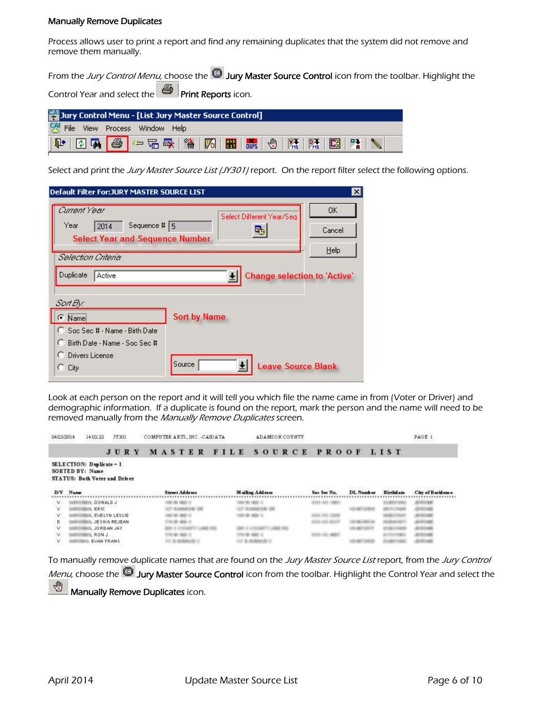### Manually Remove Duplicates

Process allows user to print a report and find any remaining duplicates that the system did not remove and remove them manually.

From the Jury Control Menu, choose the  $^{\circledR}$  Jury Master Source Control icon from the toolbar. Highlight the Control Year and select the **Print Reports** icon.

| <b>79</b> Jury Control Menu - [List Jury Master Source Control] |                                 |  |  |  |  |  |  |  |  |
|-----------------------------------------------------------------|---------------------------------|--|--|--|--|--|--|--|--|
|                                                                 | 옛 File View Process Window Help |  |  |  |  |  |  |  |  |
|                                                                 |                                 |  |  |  |  |  |  |  |  |

Select and print the Jury Master Source List (JY301) report. On the report filter select the following options.

| Default Filter For:JURY MASTER SOURCE LIST                   |                                     | Ixl     |
|--------------------------------------------------------------|-------------------------------------|---------|
| Current Year                                                 | Select Different Year/Seq           | 0K.     |
| Sequence # $\sqrt{5}$<br>Year<br>2014                        |                                     | Cancel  |
| <b>Select Year and Sequence Number</b><br>Selection Criteria |                                     | $He$ lp |
| Duplicate<br>Active                                          | <b>Change selection to 'Active'</b> |         |
| Sart By:<br>Name                                             | <b>Sort by Name</b>                 |         |
| C Soc Sec # - Name - Birth Date                              |                                     |         |
| Birth Date - Name - Soc Sec #<br>О                           |                                     |         |
| Drivers License<br>City<br>K. J                              | Source<br><b>Leave Source Blank</b> |         |

Look at each person on the report and it will tell you which file the name came in from (Voter or Driver) and demographic information. If a duplicate is found on the report, mark the person and the name will need to be removed manually from the Manually Remove Duplicates screen.

| 04/25/2014 | 14:02:22                      | JY301       |  | COMPUTER ARTS, INC. - CAIDATA |                |  |  |  |  |                 | <b>ADAMSON COUNTY</b> |  |  |  |             |  |           |  |  |                  | PAGE 1            |  |
|------------|-------------------------------|-------------|--|-------------------------------|----------------|--|--|--|--|-----------------|-----------------------|--|--|--|-------------|--|-----------|--|--|------------------|-------------------|--|
|            |                               | <b>JURY</b> |  | MASTER FILE SOURCE PROOF LIST |                |  |  |  |  |                 |                       |  |  |  |             |  |           |  |  |                  |                   |  |
|            | SELECTION: Duplicate = 1      |             |  |                               |                |  |  |  |  |                 |                       |  |  |  |             |  |           |  |  |                  |                   |  |
|            | SORTED BY: Name               |             |  |                               |                |  |  |  |  |                 |                       |  |  |  |             |  |           |  |  |                  |                   |  |
|            | STATUS: Both Voter and Driver |             |  |                               |                |  |  |  |  |                 |                       |  |  |  |             |  |           |  |  |                  |                   |  |
|            |                               |             |  |                               |                |  |  |  |  |                 |                       |  |  |  |             |  |           |  |  |                  |                   |  |
| D/V Name   |                               |             |  |                               | Street Address |  |  |  |  | Mailing Address |                       |  |  |  | Sec Sec No. |  | DL Number |  |  | <b>Birthdate</b> | City of Recidence |  |
|            |                               |             |  |                               |                |  |  |  |  |                 |                       |  |  |  |             |  |           |  |  |                  |                   |  |
|            | L DONALD J                    |             |  |                               |                |  |  |  |  |                 |                       |  |  |  |             |  |           |  |  |                  |                   |  |
|            |                               |             |  |                               |                |  |  |  |  |                 |                       |  |  |  |             |  |           |  |  |                  |                   |  |
|            | LERIC                         |             |  |                               |                |  |  |  |  |                 |                       |  |  |  |             |  |           |  |  |                  |                   |  |
|            | EVELYW LESLIE                 |             |  |                               |                |  |  |  |  |                 |                       |  |  |  |             |  |           |  |  |                  |                   |  |
|            | JESIKA REJEAN                 |             |  |                               |                |  |  |  |  |                 |                       |  |  |  |             |  |           |  |  |                  |                   |  |
|            |                               |             |  |                               |                |  |  |  |  |                 |                       |  |  |  |             |  |           |  |  |                  |                   |  |
|            | VAL WAGR OL                   |             |  |                               |                |  |  |  |  |                 |                       |  |  |  |             |  |           |  |  |                  |                   |  |
|            | RON J.<br><b>EVAN FRANS</b>   |             |  |                               |                |  |  |  |  |                 |                       |  |  |  |             |  |           |  |  |                  |                   |  |

To manually remove duplicate names that are found on the Jury Master Source List report, from the Jury Control Menu, choose the **D** Jury Master Source Control icon from the toolbar. Highlight the Control Year and select the ₩ Manually Remove Duplicates icon.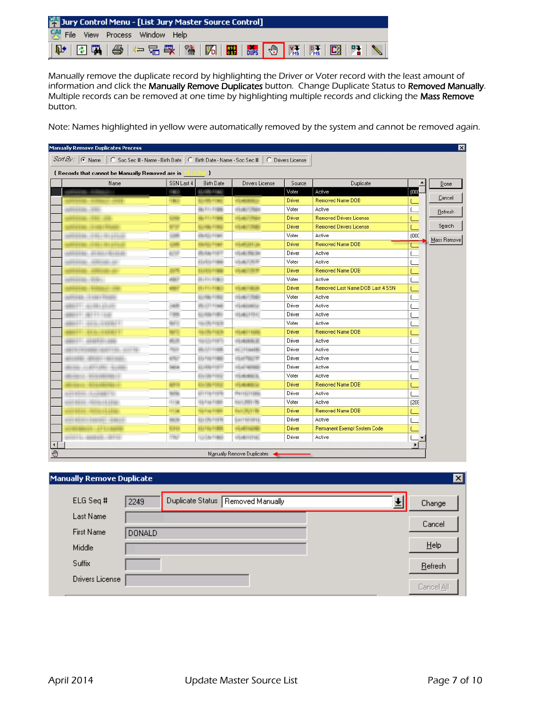| Jury Control Menu - [List Jury Master Source Control]                                               |  |
|-----------------------------------------------------------------------------------------------------|--|
| 어 File View Process Window Help                                                                     |  |
| $ \Psi $ 0 5 $ \Phi $ + 5 4 $ \Psi $ 16 $ \mathbf{E} $ . The $ \Phi $ in $ \Phi $ in $ \mathbf{E} $ |  |

Manually remove the duplicate record by highlighting the Driver or Voter record with the least amount of information and click the Manually Remove Duplicates button. Change Duplicate Status to Removed Manually. Multiple records can be removed at one time by highlighting multiple records and clicking the Mass Remove button.

Note: Names highlighted in yellow were automatically removed by the system and cannot be removed again.

| { Records that cannot be Manually Removed are in [ [ [ [ ]] |                 |                              |                          |        |                                  |       |             |
|-------------------------------------------------------------|-----------------|------------------------------|--------------------------|--------|----------------------------------|-------|-------------|
| Name                                                        | SSN Last 4      | <b>Birth Date</b>            | Drivers License          | Source | Duplicate                        |       | Done        |
| H41238-121103                                               | <b>ROBERT</b>   | <b><i>ASI/HANG FRAME</i></b> |                          | Voter  | Active                           | (OOC  |             |
| <br>1911-1-2021 - 1911-2020                                 | <b>STREET</b>   | <b>NUMBER</b>                | 州口崎田町山上                  | Driver | Removed Name DOB                 |       | Cancel      |
| ANNIHAN HIN                                                 |                 | <b>BUTTY FORE</b>            | HEARTTINGS               | Voter  | Active                           |       | Refresh     |
| resumed to a state and a                                    | <b>BIERRE</b>   | <b>THE FELL FARME</b>        | Altower Front            | Driver | <b>Removed Drivers License</b>   |       |             |
|                                                             | <b>BETWEEN</b>  | <b>NEUMBERHINE</b>           | <b>HOLANDY PUBLIC</b>    | Driver | <b>Removed Drivers License</b>   |       | Search      |
| WHITH THE RESERVE                                           | lanm.           | mention Financi              |                          | Voter  | Active                           | (000  | Mass Remove |
|                                                             | <b>ULUR</b>     | <b><i>MAINED FINANCE</i></b> | <b>HOWEEBYLIN</b>        | Driver | <b>Removed Name DOB</b>          |       |             |
| mineship, alconomistante                                    | <b>BUTTER</b>   | atturbas Francis             | After Am Phone:          | Driver | Active                           |       |             |
| alliance (interesting                                       |                 | UD/NU FINIE                  | <b>HEARTERERS</b>        | Voter  | Active                           |       |             |
|                                                             | 前市              | <b>Brunhite Frame</b>        | Nitario - Jim B          | Driver | Removed Name DOB                 |       |             |
| <b>SHALLER HIRLS</b>                                        | <b>HERE!!!</b>  | <b>WANTED FOREST</b>         |                          | Voter  | Active                           |       |             |
|                                                             | 市町市             | <b>The Financial</b>         | <b>Afterbir FRIGHT</b>   | Driver | Removed Last Name DOB Last 4 SSN |       |             |
| <b>UNIVERSITY ORDER PRODUCT</b>                             |                 | <b><i>REVING FING.</i></b>   | <b>HEARY TIME</b>        | Voter  | Active                           |       |             |
| WHITE do the erate                                          | 1681            | <b>ORIGEN FIDER</b>          | <b>ATLANTARITA</b>       | Driver | Active                           |       |             |
| MARINE MATTERS                                              | <b>Halls</b>    | <b>ALCOHOL: FIXMEN</b>       | HEARLY RHY               | Driver | Active                           |       |             |
| <b>MARINE AND ARRIVE</b>                                    | <b>TERRITO</b>  | 情報資源計算加盟                     |                          | Voter  | Active                           |       |             |
| <b>CARD IN START TO</b>                                     | <b>tart to</b>  | HALLMAN FILMON               | <b>HYDAMY FRAME</b>      | Driver | Removed Name DOB                 |       |             |
| NO INTERNATIONAL                                            | 画面              | History Harry                | 市场通用和运营                  | Driver | Active                           |       |             |
| ALCOHOL: 000-188-201-22                                     | TOLK            | <b>BURNING</b>               | NUMBER                   | Driver | Active                           |       |             |
| minime. Alliano cilesome-                                   | of Ref          | <b>BTD FINE FORMS</b>        | <b>Milan Pincciff</b>    | Driver | Active                           |       |             |
| 61100-1120-1221-1222-2                                      | <b>SERIES</b>   | <b>ULLIVIAL FIXETT</b>       | <b>HEATHAMM</b>          | Driver | Active                           |       |             |
|                                                             |                 | <b>BTA/DM-FITTEE:</b>        | <b>NEDMONDIAL</b>        | Voter  | Active                           |       |             |
|                                                             | <b>HIRECE</b>   | <b><i>MAILBARHA</i></b>      | <b>HTMHHMMM</b>          | Driver | Removed Name DOB                 |       |             |
| economicano di continuario.                                 | <b>Turrent</b>  | ary Fite From                | <b>MATTERS</b>           | Driver | Active                           |       |             |
| <b>CAN METER / MATOR CAN ATEN</b>                           | <b>HIGH</b>     | <b>HAFWERING</b>             | TOUS LANDS I VID         | Voter  | Active                           | [208] |             |
| $169.1441 \cdot 114411 \cdot 11441$                         | <b>OFFICIAL</b> | <b>This Final From E</b>     | 的名声正面                    | Driver | Removed Name DOB                 |       |             |
| pas triziciamente infiniti                                  | <b>HALLIE</b>   | MARINA FINERS                | more i sur corra.        | Driver | Active                           |       |             |
|                                                             | 取消样             | <b>NTU FRU FITHER</b>        | <b>NOTEHROTER REPORT</b> | Driver | Permanent Exempt System Code     |       |             |
| HALL BRAIN TALLS                                            | 178011          | <b>HULLISH FINISH</b>        | <b>STEARTH EFFERT</b>    | Driver | Active                           |       |             |

| Manually Remove Duplicate |               |                                   | $\vert \mathbf{x} \vert$ |
|---------------------------|---------------|-----------------------------------|--------------------------|
| ELG Seq #                 | 2249          | Duplicate Status Removed Manually | Change                   |
| Last Name                 |               |                                   | Cancel                   |
| <b>First Name</b>         | <b>DONALD</b> |                                   |                          |
| Middle                    |               |                                   | Help                     |
| Suffix                    |               |                                   | Refresh                  |
| Drivers License           |               |                                   | Cancel All               |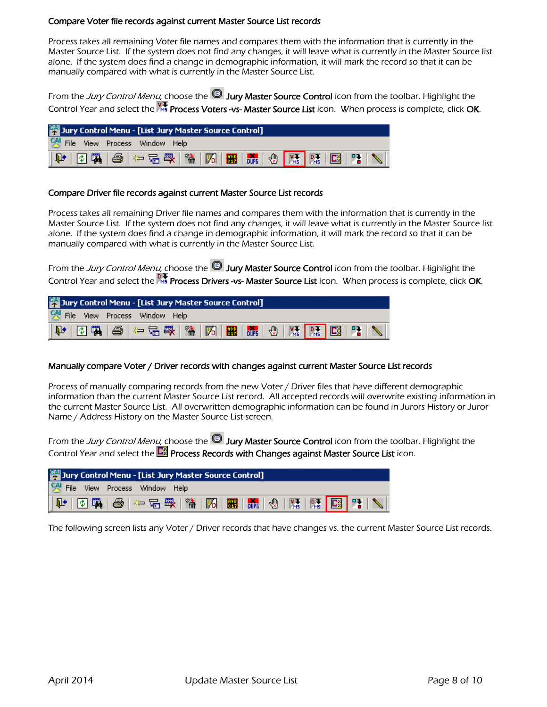## Compare Voter file records against current Master Source List records

Process takes all remaining Voter file names and compares them with the information that is currently in the Master Source List. If the system does not find any changes, it will leave what is currently in the Master Source list alone. If the system does find a change in demographic information, it will mark the record so that it can be manually compared with what is currently in the Master Source List.

From the Jury Control Menu, choose the **UU** Jury Master Source Control icon from the toolbar. Highlight the Control Year and select the Process Voters -vs- Master Source List icon. When process is complete, click OK.

| Jury Control Menu - [List Jury Master Source Control]                                                                                                                                                                                                                                                                                                                                                                                |  |
|--------------------------------------------------------------------------------------------------------------------------------------------------------------------------------------------------------------------------------------------------------------------------------------------------------------------------------------------------------------------------------------------------------------------------------------|--|
| 옛 File View Process Window Help                                                                                                                                                                                                                                                                                                                                                                                                      |  |
| $ \mathbf{P}^{\star}  \mathbf{D}^{\star} \mathbf{R}  \mathbf{B}^{\star} \mathbf{B}^{\star} \mathbf{B}^{\star} \mathbf{B}^{\star} \mathbf{B}^{\star} \mathbf{B}^{\star} \mathbf{B}^{\star} \mathbf{B}^{\star} \mathbf{B}^{\star} \mathbf{B}^{\star} \mathbf{B}^{\star} \mathbf{B}^{\star} \mathbf{B}^{\star} \mathbf{B}^{\star} \mathbf{B}^{\star} \mathbf{B}^{\star} \mathbf{B}^{\star} \mathbf{B}^{\star} \mathbf{B}^{\star} \math$ |  |

### Compare Driver file records against current Master Source List records

Process takes all remaining Driver file names and compares them with the information that is currently in the Master Source List. If the system does not find any changes, it will leave what is currently in the Master Source list alone. If the system does find a change in demographic information, it will mark the record so that it can be manually compared with what is currently in the Master Source List.

From the Jury Control Menu, choose the **D** Jury Master Source Control icon from the toolbar. Highlight the Control Year and select the **Process Drivers -vs- Master Source List** icon. When process is complete, click **OK**.

| 图 Jury Control Menu - [List Jury Master Source Control]                                                                                                                                                                           |
|-----------------------------------------------------------------------------------------------------------------------------------------------------------------------------------------------------------------------------------|
| 옛 File View Process Window Help                                                                                                                                                                                                   |
| $ \Psi $ 04,45   2010,500   2020   2020   2020   2020   2020   2020   2020   2020   2020   2020   2020   2020   2020   2020   2020   2020   2020   2020   2020   2020   2020   2020   2020   2020   2020   2020   2020   2020   2 |

### Manually compare Voter / Driver records with changes against current Master Source List records

Process of manually comparing records from the new Voter / Driver files that have different demographic information than the current Master Source List record. All accepted records will overwrite existing information in the current Master Source List. All overwritten demographic information can be found in Jurors History or Juror Name / Address History on the Master Source List screen.

From the Jury Control Menu, choose the  $^{\circledR}$  Jury Master Source Control icon from the toolbar. Highlight the Control Year and select the **Process Records with Changes against Master Source List** icon.

| Jury Control Menu - [List Jury Master Source Control]                                                                                                                                                                                                                                                                                                                                                                                                                              |  |
|------------------------------------------------------------------------------------------------------------------------------------------------------------------------------------------------------------------------------------------------------------------------------------------------------------------------------------------------------------------------------------------------------------------------------------------------------------------------------------|--|
| 옛 File View Process Window Help                                                                                                                                                                                                                                                                                                                                                                                                                                                    |  |
| $ \mathbf{P} \otimes\mathbf{R} \otimes \mathbf{R} \otimes \mathbf{R} \otimes \mathbf{R} \otimes \mathbf{R} \otimes \mathbf{R} \otimes \mathbf{R} \otimes \mathbf{R} \otimes \mathbf{R} \otimes \mathbf{R} \otimes \mathbf{R} \otimes \mathbf{R} \otimes \mathbf{R} \otimes \mathbf{R} \otimes \mathbf{R} \otimes \mathbf{R} \otimes \mathbf{R} \otimes \mathbf{R} \otimes \mathbf{R} \otimes \mathbf{R} \otimes \mathbf{R} \otimes \mathbf{R} \otimes \mathbf{R} \otimes \mathbf{$ |  |

The following screen lists any Voter / Driver records that have changes vs. the current Master Source List records.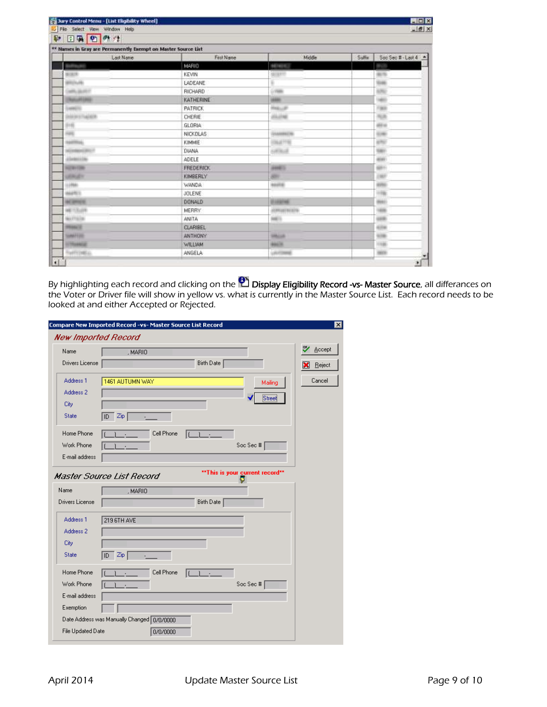| File Select View Window Help<br>日中四の生<br>p.                   |                  |                       | $  $ $f$ $ $ $\times$       |
|---------------------------------------------------------------|------------------|-----------------------|-----------------------------|
| ** Names in Gray are Permanently Exempt on Master Source List |                  |                       |                             |
| Last Name                                                     | First Name       | Middle                | Soc Sec # - Last 4<br>Sulfa |
|                                                               | MARIO            | <b>NEWS</b>           |                             |
| <b>Widolf</b>                                                 | <b>KEVIN</b>     | <b>SERFE</b>          | <b>SETS</b>                 |
| enput.                                                        | LADEANE          | ٠                     | <b>SIM</b>                  |
| wh.pat-                                                       | RICHARD          | <b>LYNN</b>           | 576                         |
| <b>Business Printers</b>                                      | KATHERINE        | 1988                  | w                           |
| <b>AMPLE INC.</b>                                             | <b>PATRICK</b>   | Han Jr.               | <b>Fall</b>                 |
| <b>Independent</b>                                            | CHERIE           | <b>JULIAN</b>         | ALL B                       |
| 利用                                                            | GLORIA           |                       | all at                      |
| <b>SHE</b>                                                    | <b>NICKDLAS</b>  | <b>SAMMER</b>         | 536                         |
| SANTING.                                                      | KIMMIE           | <b><i>IDEATOR</i></b> | <b>ATT</b>                  |
| stoniancias:                                                  | DIANA            | sillium               | SEP                         |
| distribute                                                    | ADELE            |                       | sin i                       |
| <b>NOTIFICATION</b>                                           | <b>FREDERICK</b> | <b>JOHN TO</b>        | $-0.011$                    |
| <b>JOKAT</b>                                                  | KIMBERLY         | 301                   | 1987                        |
| 139641                                                        | WANDA.           | <b>AGUITA</b>         | <b>SIVE</b>                 |
| size:                                                         | JOLENE           |                       |                             |
| <b>AC SPINSY</b>                                              | DONALD           | <b><i>USANDRA</i></b> | ma i                        |
| <b>WEITZUR</b>                                                | <b>MERRY</b>     | ADMISSION RPG         | <b>SEE</b>                  |
| <b>MATTELER</b>                                               | <b>ANITA</b>     | <b>NATION</b>         |                             |
| <b>PERMITE</b>                                                | <b>CLARIBEL</b>  |                       | 439                         |
| <b>GANTING</b>                                                | <b>ANTHONY</b>   | <b>SMALLS</b>         | <b>SIM</b>                  |
| <b>HITELANDS</b>                                              | <b>WILLWM</b>    | <b>MAGIN</b>          | 111.95                      |
| <b>SWITCHELL</b>                                              | ANGELA           | LIVERARE              | <b>HELP</b>                 |

By highlighting each record and clicking on the **Display Eligibility Record -vs- Master Source**, all differances on the Voter or Driver file will show in yellow vs. what is currently in the Master Source List. Each record needs to be looked at and either Accepted or Rejected.

|                      | Compare New Imported Record -vs- Master Source List Record        | ×            |
|----------------------|-------------------------------------------------------------------|--------------|
| New Imported Record  |                                                                   |              |
| Name                 | , MARIO                                                           | 22<br>Accept |
| Drivers License      | <b>Birth Date</b>                                                 | x<br>Reject  |
| Address <sub>1</sub> | 1461 AUTUMN WAY<br>Mailing                                        | Cancel       |
| Address 2            | Street                                                            |              |
| City                 |                                                                   |              |
| State                | Zip<br>lid                                                        |              |
| Home Phone           | Cell Phone                                                        |              |
| Work Phone           | Soc Sec #                                                         |              |
| E-mail address       |                                                                   |              |
|                      | **This is your current record**<br>Master Source List Record<br>Π |              |
| Name                 | . MARIO                                                           |              |
| Drivers License      | <b>Birth Date</b>                                                 |              |
| Address 1            | 219 6TH AVE                                                       |              |
| Address 2            |                                                                   |              |
| City                 |                                                                   |              |
| State                | Zip<br>lid                                                        |              |
| Home Phone           | Cell Phone                                                        |              |
| Work Phone           | Soc Sec #                                                         |              |
| E-mail address       |                                                                   |              |
| Exemption            |                                                                   |              |
|                      | Date Address was Manually Changed 0/0/0000                        |              |
| File Updated Date    | 0/0/0000                                                          |              |